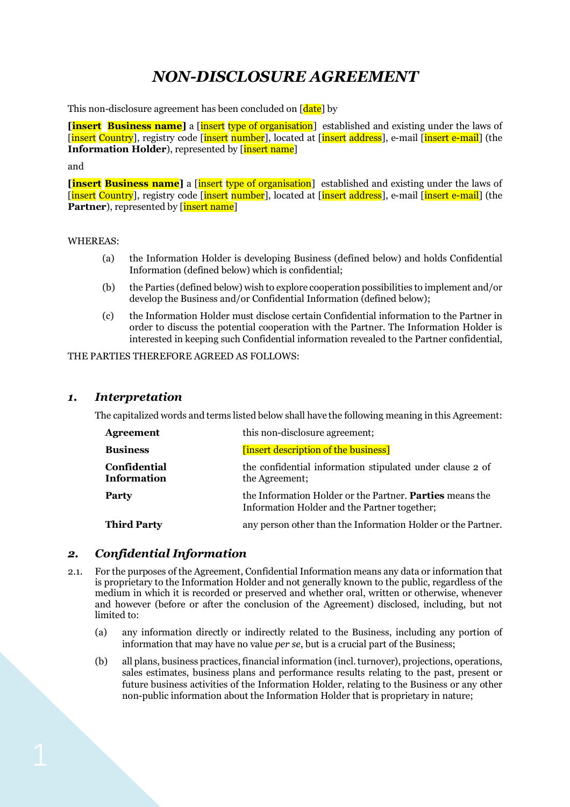# *NON-DISCLOSURE AGREEMENT*

This non-disclosure agreement has been concluded on [date] by

**<u>Example 1</u>** Find Supertriangleright in set the laws of organisation and existing under the laws of [insert Country], registry code [insert number], located at [insert address], e-mail [insert e-mail] (the **Information Holder**), represented by [insert name]

#### and

**[insert Business name]** a [insert type of organisation] established and existing under the laws of [insert Country], registry code [insert number], located at [insert address], e-mail [insert e-mail] (the **Partner**), represented by [insert name]

#### WHEREAS:

- (a) the Information Holder is developing Business (defined below) and holds Confidential Information (defined below) which is confidential;
- (b) the Parties (defined below) wish to explore cooperation possibilities to implement and/or develop the Business and/or Confidential Information (defined below);
- (c) the Information Holder must disclose certain Confidential information to the Partner in order to discuss the potential cooperation with the Partner. The Information Holder is interested in keeping such Confidential information revealed to the Partner confidential,

THE PARTIES THEREFORE AGREED AS FOLLOWS:

#### *1. Interpretation*

The capitalized words and terms listed below shall have the following meaning in this Agreement:

| Agreement                          | this non-disclosure agreement;                                                                           |
|------------------------------------|----------------------------------------------------------------------------------------------------------|
| <b>Business</b>                    | [insert description of the business]                                                                     |
| Confidential<br><b>Information</b> | the confidential information stipulated under clause 2 of<br>the Agreement;                              |
| Party                              | the Information Holder or the Partner. Parties means the<br>Information Holder and the Partner together; |
| <b>Third Party</b>                 | any person other than the Information Holder or the Partner.                                             |
|                                    |                                                                                                          |

### *2. Confidential Information*

- 2.1. For the purposes of the Agreement, Confidential Information means any data or information that is proprietary to the Information Holder and not generally known to the public, regardless of the medium in which it is recorded or preserved and whether oral, written or otherwise, whenever and however (before or after the conclusion of the Agreement) disclosed, including, but not limited to:
	- (a) any information directly or indirectly related to the Business, including any portion of information that may have no value *per se*, but is a crucial part of the Business;
	- (b) all plans, business practices, financial information (incl. turnover), projections, operations, sales estimates, business plans and performance results relating to the past, present or future business activities of the Information Holder, relating to the Business or any other non-public information about the Information Holder that is proprietary in nature;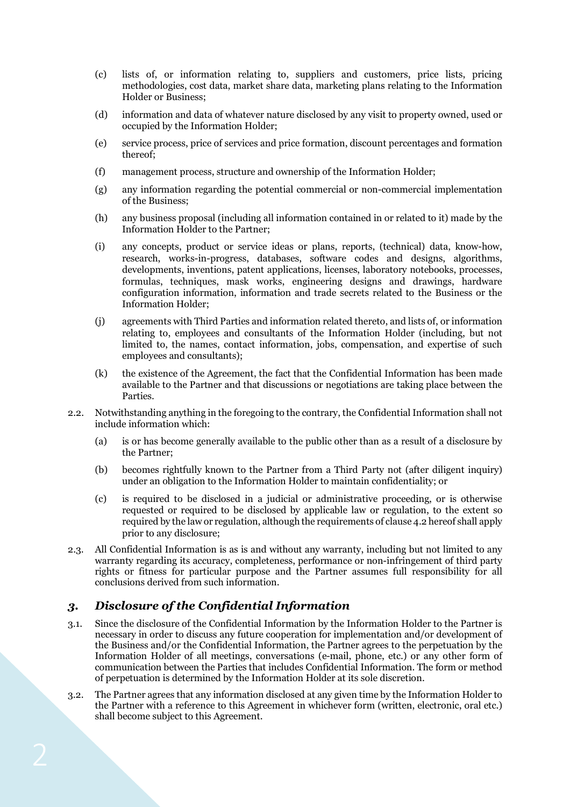- (c) lists of, or information relating to, suppliers and customers, price lists, pricing methodologies, cost data, market share data, marketing plans relating to the Information Holder or Business;
- (d) information and data of whatever nature disclosed by any visit to property owned, used or occupied by the Information Holder;
- (e) service process, price of services and price formation, discount percentages and formation thereof;
- (f) management process, structure and ownership of the Information Holder;
- (g) any information regarding the potential commercial or non-commercial implementation of the Business;
- (h) any business proposal (including all information contained in or related to it) made by the Information Holder to the Partner;
- (i) any concepts, product or service ideas or plans, reports, (technical) data, know-how, research, works-in-progress, databases, software codes and designs, algorithms, developments, inventions, patent applications, licenses, laboratory notebooks, processes, formulas, techniques, mask works, engineering designs and drawings, hardware configuration information, information and trade secrets related to the Business or the Information Holder;
- (j) agreements with Third Parties and information related thereto, and lists of, or information relating to, employees and consultants of the Information Holder (including, but not limited to, the names, contact information, jobs, compensation, and expertise of such employees and consultants);
- (k) the existence of the Agreement, the fact that the Confidential Information has been made available to the Partner and that discussions or negotiations are taking place between the Parties.
- 2.2. Notwithstanding anything in the foregoing to the contrary, the Confidential Information shall not include information which:
	- (a) is or has become generally available to the public other than as a result of a disclosure by the Partner;
	- (b) becomes rightfully known to the Partner from a Third Party not (after diligent inquiry) under an obligation to the Information Holder to maintain confidentiality; or
	- (c) is required to be disclosed in a judicial or administrative proceeding, or is otherwise requested or required to be disclosed by applicable law or regulation, to the extent so required by the law or regulation, although the requirements of clause 4.2 hereof shall apply prior to any disclosure;
- 2.3. All Confidential Information is as is and without any warranty, including but not limited to any warranty regarding its accuracy, completeness, performance or non-infringement of third party rights or fitness for particular purpose and the Partner assumes full responsibility for all conclusions derived from such information.

# *3. Disclosure of the Confidential Information*

- 3.1. Since the disclosure of the Confidential Information by the Information Holder to the Partner is necessary in order to discuss any future cooperation for implementation and/or development of the Business and/or the Confidential Information, the Partner agrees to the perpetuation by the Information Holder of all meetings, conversations (e-mail, phone, etc.) or any other form of communication between the Parties that includes Confidential Information. The form or method of perpetuation is determined by the Information Holder at its sole discretion.
- 3.2. The Partner agrees that any information disclosed at any given time by the Information Holder to the Partner with a reference to this Agreement in whichever form (written, electronic, oral etc.) shall become subject to this Agreement.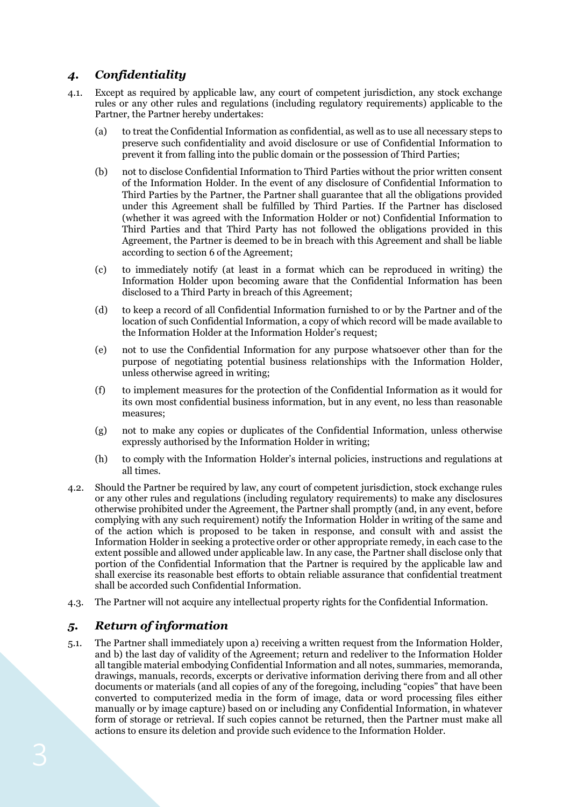# *4. Confidentiality*

- 4.1. Except as required by applicable law, any court of competent jurisdiction, any stock exchange rules or any other rules and regulations (including regulatory requirements) applicable to the Partner, the Partner hereby undertakes:
	- (a) to treat the Confidential Information as confidential, as well as to use all necessary steps to preserve such confidentiality and avoid disclosure or use of Confidential Information to prevent it from falling into the public domain or the possession of Third Parties;
	- (b) not to disclose Confidential Information to Third Parties without the prior written consent of the Information Holder. In the event of any disclosure of Confidential Information to Third Parties by the Partner, the Partner shall guarantee that all the obligations provided under this Agreement shall be fulfilled by Third Parties. If the Partner has disclosed (whether it was agreed with the Information Holder or not) Confidential Information to Third Parties and that Third Party has not followed the obligations provided in this Agreement, the Partner is deemed to be in breach with this Agreement and shall be liable according to section 6 of the Agreement;
	- (c) to immediately notify (at least in a format which can be reproduced in writing) the Information Holder upon becoming aware that the Confidential Information has been disclosed to a Third Party in breach of this Agreement;
	- (d) to keep a record of all Confidential Information furnished to or by the Partner and of the location of such Confidential Information, a copy of which record will be made available to the Information Holder at the Information Holder's request;
	- (e) not to use the Confidential Information for any purpose whatsoever other than for the purpose of negotiating potential business relationships with the Information Holder, unless otherwise agreed in writing;
	- (f) to implement measures for the protection of the Confidential Information as it would for its own most confidential business information, but in any event, no less than reasonable measures;
	- (g) not to make any copies or duplicates of the Confidential Information, unless otherwise expressly authorised by the Information Holder in writing;
	- (h) to comply with the Information Holder's internal policies, instructions and regulations at all times.
- 4.2. Should the Partner be required by law, any court of competent jurisdiction, stock exchange rules or any other rules and regulations (including regulatory requirements) to make any disclosures otherwise prohibited under the Agreement, the Partner shall promptly (and, in any event, before complying with any such requirement) notify the Information Holder in writing of the same and of the action which is proposed to be taken in response, and consult with and assist the Information Holder in seeking a protective order or other appropriate remedy, in each case to the extent possible and allowed under applicable law. In any case, the Partner shall disclose only that portion of the Confidential Information that the Partner is required by the applicable law and shall exercise its reasonable best efforts to obtain reliable assurance that confidential treatment shall be accorded such Confidential Information.
- 4.3. The Partner will not acquire any intellectual property rights for the Confidential Information.

# *5. Return of information*

5.1. The Partner shall immediately upon a) receiving a written request from the Information Holder, and b) the last day of validity of the Agreement; return and redeliver to the Information Holder all tangible material embodying Confidential Information and all notes, summaries, memoranda, drawings, manuals, records, excerpts or derivative information deriving there from and all other documents or materials (and all copies of any of the foregoing, including "copies" that have been converted to computerized media in the form of image, data or word processing files either manually or by image capture) based on or including any Confidential Information, in whatever form of storage or retrieval. If such copies cannot be returned, then the Partner must make all actions to ensure its deletion and provide such evidence to the Information Holder.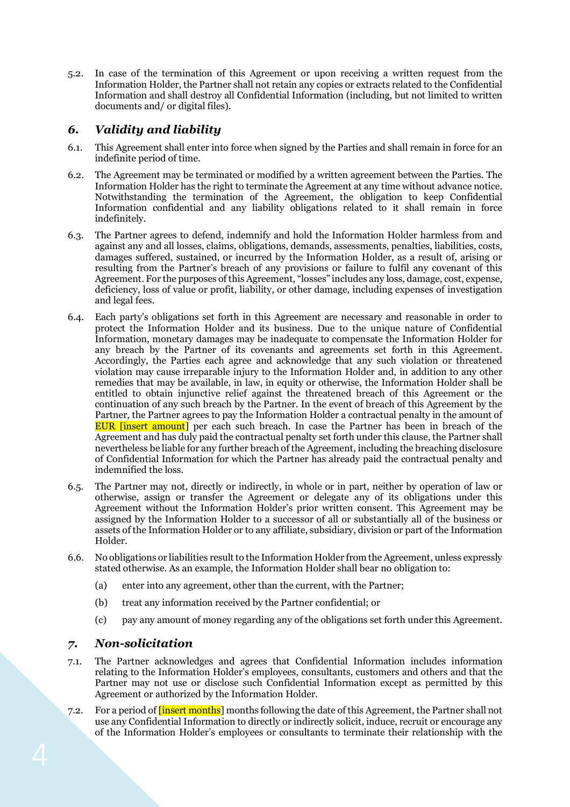5.2. In case of the termination of this Agreement or upon receiving a written request from the Information Holder, the Partner shall not retain any copies or extracts related to the Confidential Information and shall destroy all Confidential Information (including, but not limited to written documents and/ or digital files).

## *6. Validity and liability*

- 6.1. This Agreement shall enter into force when signed by the Parties and shall remain in force for an indefinite period of time.
- 6.2. The Agreement may be terminated or modified by a written agreement between the Parties. The Information Holder has the right to terminate the Agreement at any time without advance notice. Notwithstanding the termination of the Agreement, the obligation to keep Confidential Information confidential and any liability obligations related to it shall remain in force indefinitely.
- 6.3. The Partner agrees to defend, indemnify and hold the Information Holder harmless from and against any and all losses, claims, obligations, demands, assessments, penalties, liabilities, costs, damages suffered, sustained, or incurred by the Information Holder, as a result of, arising or resulting from the Partner's breach of any provisions or failure to fulfil any covenant of this Agreement. For the purposes of this Agreement, "losses" includes any loss, damage, cost, expense, deficiency, loss of value or profit, liability, or other damage, including expenses of investigation and legal fees.
- 6.4. Each party's obligations set forth in this Agreement are necessary and reasonable in order to protect the Information Holder and its business. Due to the unique nature of Confidential Information, monetary damages may be inadequate to compensate the Information Holder for any breach by the Partner of its covenants and agreements set forth in this Agreement. Accordingly, the Parties each agree and acknowledge that any such violation or threatened violation may cause irreparable injury to the Information Holder and, in addition to any other remedies that may be available, in law, in equity or otherwise, the Information Holder shall be entitled to obtain injunctive relief against the threatened breach of this Agreement or the continuation of any such breach by the Partner. In the event of breach of this Agreement by the Partner, the Partner agrees to pay the Information Holder a contractual penalty in the amount of EUR [insert amount] per each such breach. In case the Partner has been in breach of the Agreement and has duly paid the contractual penalty set forth under this clause, the Partner shall nevertheless be liable for any further breach of the Agreement, including the breaching disclosure of Confidential Information for which the Partner has already paid the contractual penalty and indemnified the loss.
- 6.5. The Partner may not, directly or indirectly, in whole or in part, neither by operation of law or otherwise, assign or transfer the Agreement or delegate any of its obligations under this Agreement without the Information Holder's prior written consent. This Agreement may be assigned by the Information Holder to a successor of all or substantially all of the business or assets of the Information Holder or to any affiliate, subsidiary, division or part of the Information Holder.
- 6.6. No obligations or liabilities result to the Information Holder from the Agreement, unless expressly stated otherwise. As an example, the Information Holder shall bear no obligation to:
	- (a) enter into any agreement, other than the current, with the Partner;
	- (b) treat any information received by the Partner confidential; or
	- (c) pay any amount of money regarding any of the obligations set forth under this Agreement.

### *7. Non-solicitation*

- 7.1. The Partner acknowledges and agrees that Confidential Information includes information relating to the Information Holder's employees, consultants, customers and others and that the Partner may not use or disclose such Confidential Information except as permitted by this Agreement or authorized by the Information Holder.
- 7.2. For a period of [insert months] months following the date of this Agreement, the Partner shall not use any Confidential Information to directly or indirectly solicit, induce, recruit or encourage any of the Information Holder's employees or consultants to terminate their relationship with the